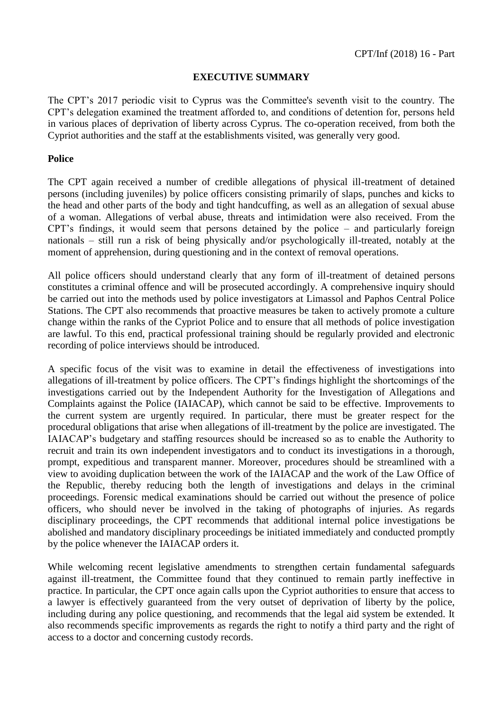# **EXECUTIVE SUMMARY**

The CPT's 2017 periodic visit to Cyprus was the Committee's seventh visit to the country. The CPT's delegation examined the treatment afforded to, and conditions of detention for, persons held in various places of deprivation of liberty across Cyprus. The co-operation received, from both the Cypriot authorities and the staff at the establishments visited, was generally very good.

# **Police**

The CPT again received a number of credible allegations of physical ill-treatment of detained persons (including juveniles) by police officers consisting primarily of slaps, punches and kicks to the head and other parts of the body and tight handcuffing, as well as an allegation of sexual abuse of a woman. Allegations of verbal abuse, threats and intimidation were also received. From the CPT's findings, it would seem that persons detained by the police – and particularly foreign nationals – still run a risk of being physically and/or psychologically ill-treated, notably at the moment of apprehension, during questioning and in the context of removal operations.

All police officers should understand clearly that any form of ill-treatment of detained persons constitutes a criminal offence and will be prosecuted accordingly. A comprehensive inquiry should be carried out into the methods used by police investigators at Limassol and Paphos Central Police Stations. The CPT also recommends that proactive measures be taken to actively promote a culture change within the ranks of the Cypriot Police and to ensure that all methods of police investigation are lawful. To this end, practical professional training should be regularly provided and electronic recording of police interviews should be introduced.

A specific focus of the visit was to examine in detail the effectiveness of investigations into allegations of ill-treatment by police officers. The CPT's findings highlight the shortcomings of the investigations carried out by the Independent Authority for the Investigation of Allegations and Complaints against the Police (IAIACAP), which cannot be said to be effective. Improvements to the current system are urgently required. In particular, there must be greater respect for the procedural obligations that arise when allegations of ill-treatment by the police are investigated. The IAIACAP's budgetary and staffing resources should be increased so as to enable the Authority to recruit and train its own independent investigators and to conduct its investigations in a thorough, prompt, expeditious and transparent manner. Moreover, procedures should be streamlined with a view to avoiding duplication between the work of the IAIACAP and the work of the Law Office of the Republic, thereby reducing both the length of investigations and delays in the criminal proceedings. Forensic medical examinations should be carried out without the presence of police officers, who should never be involved in the taking of photographs of injuries. As regards disciplinary proceedings, the CPT recommends that additional internal police investigations be abolished and mandatory disciplinary proceedings be initiated immediately and conducted promptly by the police whenever the IAIACAP orders it.

While welcoming recent legislative amendments to strengthen certain fundamental safeguards against ill-treatment, the Committee found that they continued to remain partly ineffective in practice. In particular, the CPT once again calls upon the Cypriot authorities to ensure that access to a lawyer is effectively guaranteed from the very outset of deprivation of liberty by the police, including during any police questioning, and recommends that the legal aid system be extended. It also recommends specific improvements as regards the right to notify a third party and the right of access to a doctor and concerning custody records.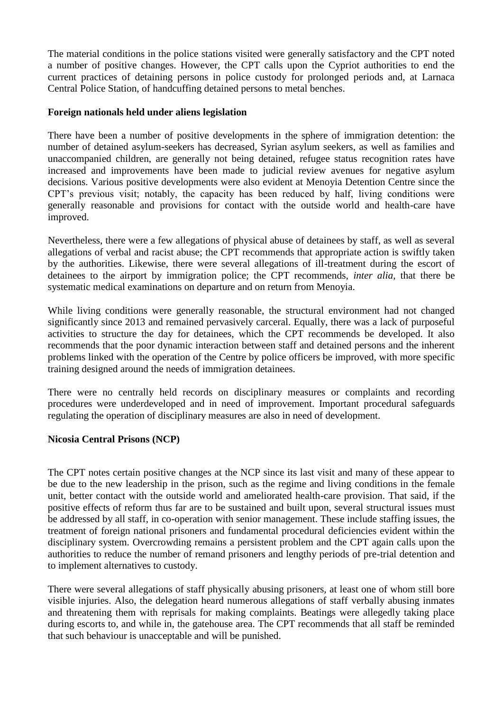The material conditions in the police stations visited were generally satisfactory and the CPT noted a number of positive changes. However, the CPT calls upon the Cypriot authorities to end the current practices of detaining persons in police custody for prolonged periods and, at Larnaca Central Police Station, of handcuffing detained persons to metal benches.

# **Foreign nationals held under aliens legislation**

There have been a number of positive developments in the sphere of immigration detention: the number of detained asylum-seekers has decreased, Syrian asylum seekers, as well as families and unaccompanied children, are generally not being detained, refugee status recognition rates have increased and improvements have been made to judicial review avenues for negative asylum decisions. Various positive developments were also evident at Menoyia Detention Centre since the CPT's previous visit; notably, the capacity has been reduced by half, living conditions were generally reasonable and provisions for contact with the outside world and health-care have improved.

Nevertheless, there were a few allegations of physical abuse of detainees by staff, as well as several allegations of verbal and racist abuse; the CPT recommends that appropriate action is swiftly taken by the authorities. Likewise, there were several allegations of ill-treatment during the escort of detainees to the airport by immigration police; the CPT recommends, *inter alia*, that there be systematic medical examinations on departure and on return from Menoyia.

While living conditions were generally reasonable, the structural environment had not changed significantly since 2013 and remained pervasively carceral. Equally, there was a lack of purposeful activities to structure the day for detainees, which the CPT recommends be developed. It also recommends that the poor dynamic interaction between staff and detained persons and the inherent problems linked with the operation of the Centre by police officers be improved, with more specific training designed around the needs of immigration detainees.

There were no centrally held records on disciplinary measures or complaints and recording procedures were underdeveloped and in need of improvement. Important procedural safeguards regulating the operation of disciplinary measures are also in need of development.

### **Nicosia Central Prisons (NCP)**

The CPT notes certain positive changes at the NCP since its last visit and many of these appear to be due to the new leadership in the prison, such as the regime and living conditions in the female unit, better contact with the outside world and ameliorated health-care provision. That said, if the positive effects of reform thus far are to be sustained and built upon, several structural issues must be addressed by all staff, in co-operation with senior management. These include staffing issues, the treatment of foreign national prisoners and fundamental procedural deficiencies evident within the disciplinary system. Overcrowding remains a persistent problem and the CPT again calls upon the authorities to reduce the number of remand prisoners and lengthy periods of pre-trial detention and to implement alternatives to custody.

There were several allegations of staff physically abusing prisoners, at least one of whom still bore visible injuries. Also, the delegation heard numerous allegations of staff verbally abusing inmates and threatening them with reprisals for making complaints. Beatings were allegedly taking place during escorts to, and while in, the gatehouse area. The CPT recommends that all staff be reminded that such behaviour is unacceptable and will be punished.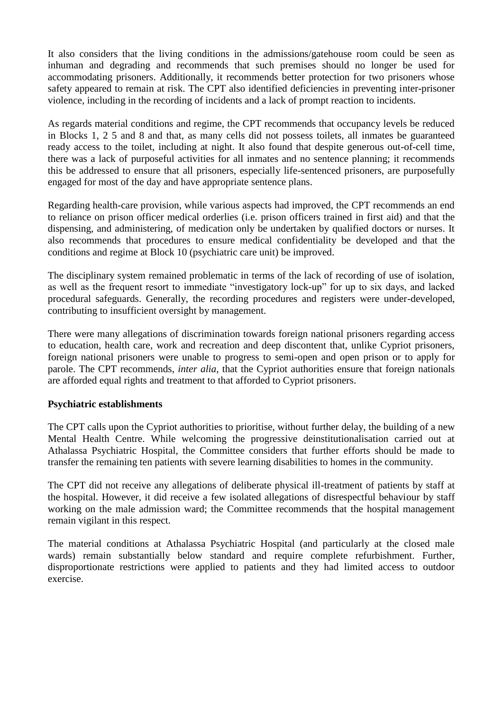It also considers that the living conditions in the admissions/gatehouse room could be seen as inhuman and degrading and recommends that such premises should no longer be used for accommodating prisoners. Additionally, it recommends better protection for two prisoners whose safety appeared to remain at risk. The CPT also identified deficiencies in preventing inter-prisoner violence, including in the recording of incidents and a lack of prompt reaction to incidents.

As regards material conditions and regime, the CPT recommends that occupancy levels be reduced in Blocks 1, 2 5 and 8 and that, as many cells did not possess toilets, all inmates be guaranteed ready access to the toilet, including at night. It also found that despite generous out-of-cell time, there was a lack of purposeful activities for all inmates and no sentence planning; it recommends this be addressed to ensure that all prisoners, especially life-sentenced prisoners, are purposefully engaged for most of the day and have appropriate sentence plans.

Regarding health-care provision, while various aspects had improved, the CPT recommends an end to reliance on prison officer medical orderlies (i.e. prison officers trained in first aid) and that the dispensing, and administering, of medication only be undertaken by qualified doctors or nurses. It also recommends that procedures to ensure medical confidentiality be developed and that the conditions and regime at Block 10 (psychiatric care unit) be improved.

The disciplinary system remained problematic in terms of the lack of recording of use of isolation, as well as the frequent resort to immediate "investigatory lock-up" for up to six days, and lacked procedural safeguards. Generally, the recording procedures and registers were under-developed, contributing to insufficient oversight by management.

There were many allegations of discrimination towards foreign national prisoners regarding access to education, health care, work and recreation and deep discontent that, unlike Cypriot prisoners, foreign national prisoners were unable to progress to semi-open and open prison or to apply for parole. The CPT recommends, *inter alia*, that the Cypriot authorities ensure that foreign nationals are afforded equal rights and treatment to that afforded to Cypriot prisoners.

### **Psychiatric establishments**

The CPT calls upon the Cypriot authorities to prioritise, without further delay, the building of a new Mental Health Centre. While welcoming the progressive deinstitutionalisation carried out at Athalassa Psychiatric Hospital, the Committee considers that further efforts should be made to transfer the remaining ten patients with severe learning disabilities to homes in the community.

The CPT did not receive any allegations of deliberate physical ill-treatment of patients by staff at the hospital. However, it did receive a few isolated allegations of disrespectful behaviour by staff working on the male admission ward; the Committee recommends that the hospital management remain vigilant in this respect.

The material conditions at Athalassa Psychiatric Hospital (and particularly at the closed male wards) remain substantially below standard and require complete refurbishment. Further, disproportionate restrictions were applied to patients and they had limited access to outdoor exercise.